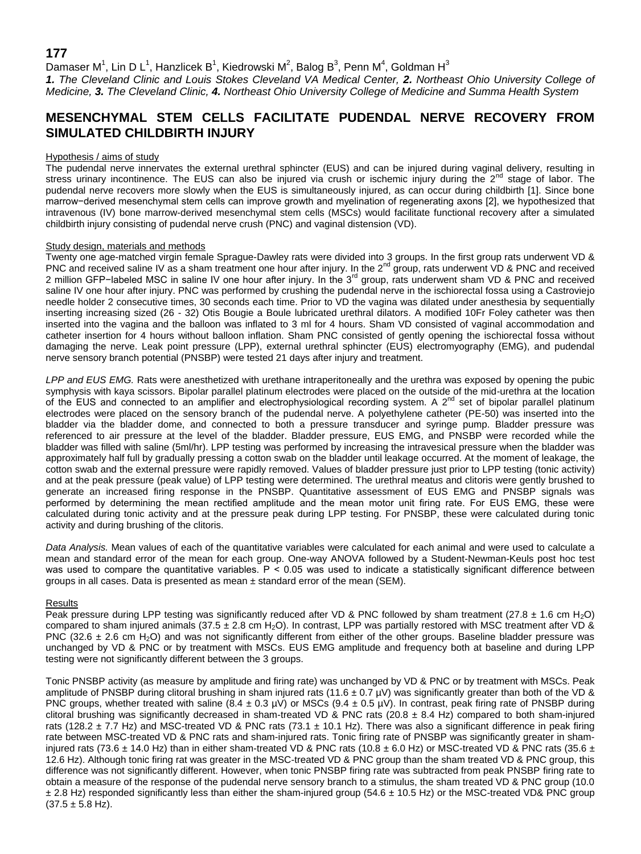## **177**

Damaser M<sup>1</sup>, Lin D L<sup>1</sup>, Hanzlicek B<sup>1</sup>, Kiedrowski M<sup>2</sup>, Balog B<sup>3</sup>, Penn M<sup>4</sup>, Goldman H<sup>3</sup>

*1. The Cleveland Clinic and Louis Stokes Cleveland VA Medical Center, 2. Northeast Ohio University College of Medicine, 3. The Cleveland Clinic, 4. Northeast Ohio University College of Medicine and Summa Health System*

# **MESENCHYMAL STEM CELLS FACILITATE PUDENDAL NERVE RECOVERY FROM SIMULATED CHILDBIRTH INJURY**

## Hypothesis / aims of study

The pudendal nerve innervates the external urethral sphincter (EUS) and can be injured during vaginal delivery, resulting in stress urinary incontinence. The EUS can also be injured via crush or ischemic injury during the  $2<sup>nd</sup>$  stage of labor. The pudendal nerve recovers more slowly when the EUS is simultaneously injured, as can occur during childbirth [1]. Since bone marrow−derived mesenchymal stem cells can improve growth and myelination of regenerating axons [2], we hypothesized that intravenous (IV) bone marrow-derived mesenchymal stem cells (MSCs) would facilitate functional recovery after a simulated childbirth injury consisting of pudendal nerve crush (PNC) and vaginal distension (VD).

## Study design, materials and methods

Twenty one age-matched virgin female Sprague-Dawley rats were divided into 3 groups. In the first group rats underwent VD & PNC and received saline IV as a sham treatment one hour after injury. In the 2<sup>nd</sup> group, rats underwent VD & PNC and received 2 million GFP-labeled MSC in saline IV one hour after injury. In the 3<sup>rd</sup> group, rats underwent sham VD & PNC and received saline IV one hour after injury. PNC was performed by crushing the pudendal nerve in the ischiorectal fossa using a Castroviejo needle holder 2 consecutive times, 30 seconds each time. Prior to VD the vagina was dilated under anesthesia by sequentially inserting increasing sized (26 - 32) Otis Bougie a Boule lubricated urethral dilators. A modified 10Fr Foley catheter was then inserted into the vagina and the balloon was inflated to 3 ml for 4 hours. Sham VD consisted of vaginal accommodation and catheter insertion for 4 hours without balloon inflation. Sham PNC consisted of gently opening the ischiorectal fossa without damaging the nerve. Leak point pressure (LPP), external urethral sphincter (EUS) electromyography (EMG), and pudendal nerve sensory branch potential (PNSBP) were tested 21 days after injury and treatment.

*LPP and EUS EMG.* Rats were anesthetized with urethane intraperitoneally and the urethra was exposed by opening the pubic symphysis with kaya scissors. Bipolar parallel platinum electrodes were placed on the outside of the mid-urethra at the location of the EUS and connected to an amplifier and electrophysiological recording system. A  $2^{nd}$  set of bipolar parallel platinum electrodes were placed on the sensory branch of the pudendal nerve. A polyethylene catheter (PE-50) was inserted into the bladder via the bladder dome, and connected to both a pressure transducer and syringe pump. Bladder pressure was referenced to air pressure at the level of the bladder. Bladder pressure, EUS EMG, and PNSBP were recorded while the bladder was filled with saline (5ml/hr). LPP testing was performed by increasing the intravesical pressure when the bladder was approximately half full by gradually pressing a cotton swab on the bladder until leakage occurred. At the moment of leakage, the cotton swab and the external pressure were rapidly removed. Values of bladder pressure just prior to LPP testing (tonic activity) and at the peak pressure (peak value) of LPP testing were determined. The urethral meatus and clitoris were gently brushed to generate an increased firing response in the PNSBP. Quantitative assessment of EUS EMG and PNSBP signals was performed by determining the mean rectified amplitude and the mean motor unit firing rate. For EUS EMG, these were calculated during tonic activity and at the pressure peak during LPP testing. For PNSBP, these were calculated during tonic activity and during brushing of the clitoris.

*Data Analysis.* Mean values of each of the quantitative variables were calculated for each animal and were used to calculate a mean and standard error of the mean for each group. One-way ANOVA followed by a Student-Newman-Keuls post hoc test was used to compare the quantitative variables.  $P < 0.05$  was used to indicate a statistically significant difference between groups in all cases. Data is presented as mean ± standard error of the mean (SEM).

### Results

Peak pressure during LPP testing was significantly reduced after VD & PNC followed by sham treatment (27.8  $\pm$  1.6 cm H<sub>2</sub>O) compared to sham injured animals (37.5  $\pm$  2.8 cm H<sub>2</sub>O). In contrast, LPP was partially restored with MSC treatment after VD & PNC (32.6  $\pm$  2.6 cm H<sub>2</sub>O) and was not significantly different from either of the other groups. Baseline bladder pressure was unchanged by VD & PNC or by treatment with MSCs. EUS EMG amplitude and frequency both at baseline and during LPP testing were not significantly different between the 3 groups.

Tonic PNSBP activity (as measure by amplitude and firing rate) was unchanged by VD & PNC or by treatment with MSCs. Peak amplitude of PNSBP during clitoral brushing in sham injured rats (11.6  $\pm$  0.7 µV) was significantly greater than both of the VD & PNC groups, whether treated with saline  $(8.4 \pm 0.3 \text{ }\mu\text{V})$  or MSCs  $(9.4 \pm 0.5 \text{ }\mu\text{V})$ . In contrast, peak firing rate of PNSBP during clitoral brushing was significantly decreased in sham-treated VD & PNC rats (20.8  $\pm$  8.4 Hz) compared to both sham-injured rats (128.2  $\pm$  7.7 Hz) and MSC-treated VD & PNC rats (73.1  $\pm$  10.1 Hz). There was also a significant difference in peak firing rate between MSC-treated VD & PNC rats and sham-injured rats. Tonic firing rate of PNSBP was significantly greater in shaminjured rats (73.6  $\pm$  14.0 Hz) than in either sham-treated VD & PNC rats (10.8  $\pm$  6.0 Hz) or MSC-treated VD & PNC rats (35.6  $\pm$ 12.6 Hz). Although tonic firing rat was greater in the MSC-treated VD & PNC group than the sham treated VD & PNC group, this difference was not significantly different. However, when tonic PNSBP firing rate was subtracted from peak PNSBP firing rate to obtain a measure of the response of the pudendal nerve sensory branch to a stimulus, the sham treated VD & PNC group (10.0  $\pm$  2.8 Hz) responded significantly less than either the sham-injured group (54.6  $\pm$  10.5 Hz) or the MSC-treated VD& PNC group  $(37.5 \pm 5.8 \text{ Hz})$ .